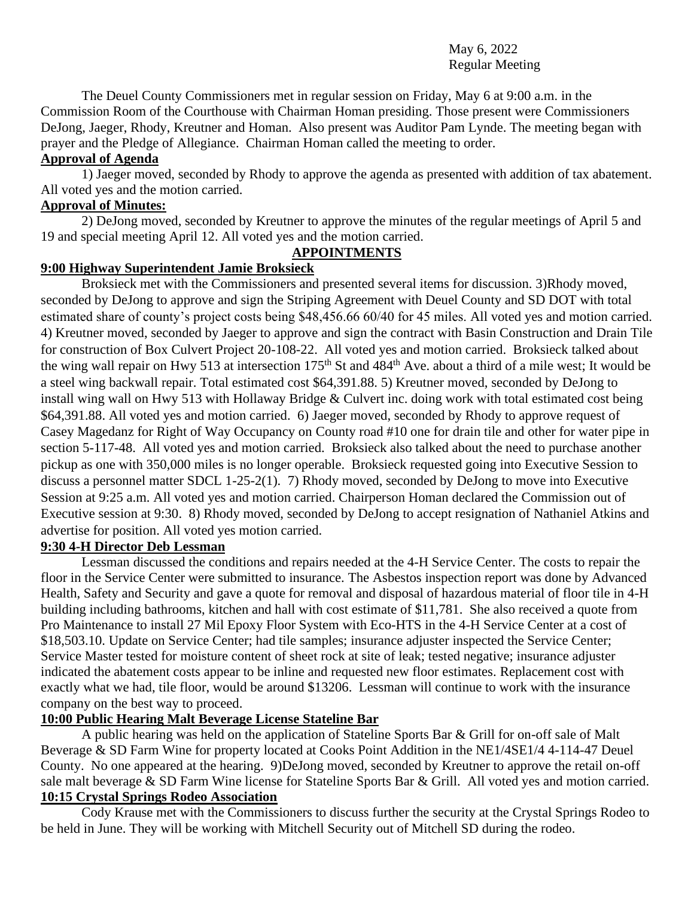#### May 6, 2022 Regular Meeting

The Deuel County Commissioners met in regular session on Friday, May 6 at 9:00 a.m. in the Commission Room of the Courthouse with Chairman Homan presiding. Those present were Commissioners DeJong, Jaeger, Rhody, Kreutner and Homan. Also present was Auditor Pam Lynde. The meeting began with prayer and the Pledge of Allegiance. Chairman Homan called the meeting to order.

#### **Approval of Agenda**

1) Jaeger moved, seconded by Rhody to approve the agenda as presented with addition of tax abatement. All voted yes and the motion carried.

#### **Approval of Minutes:**

2) DeJong moved, seconded by Kreutner to approve the minutes of the regular meetings of April 5 and 19 and special meeting April 12. All voted yes and the motion carried.

#### **APPOINTMENTS**

#### **9:00 Highway Superintendent Jamie Broksieck**

Broksieck met with the Commissioners and presented several items for discussion. 3)Rhody moved, seconded by DeJong to approve and sign the Striping Agreement with Deuel County and SD DOT with total estimated share of county's project costs being \$48,456.66 60/40 for 45 miles. All voted yes and motion carried. 4) Kreutner moved, seconded by Jaeger to approve and sign the contract with Basin Construction and Drain Tile for construction of Box Culvert Project 20-108-22. All voted yes and motion carried. Broksieck talked about the wing wall repair on Hwy 513 at intersection 175<sup>th</sup> St and 484<sup>th</sup> Ave. about a third of a mile west; It would be a steel wing backwall repair. Total estimated cost \$64,391.88. 5) Kreutner moved, seconded by DeJong to install wing wall on Hwy 513 with Hollaway Bridge & Culvert inc. doing work with total estimated cost being \$64,391.88. All voted yes and motion carried. 6) Jaeger moved, seconded by Rhody to approve request of Casey Magedanz for Right of Way Occupancy on County road #10 one for drain tile and other for water pipe in section 5-117-48. All voted yes and motion carried. Broksieck also talked about the need to purchase another pickup as one with 350,000 miles is no longer operable. Broksieck requested going into Executive Session to discuss a personnel matter SDCL 1-25-2(1). 7) Rhody moved, seconded by DeJong to move into Executive Session at 9:25 a.m. All voted yes and motion carried. Chairperson Homan declared the Commission out of Executive session at 9:30. 8) Rhody moved, seconded by DeJong to accept resignation of Nathaniel Atkins and advertise for position. All voted yes motion carried.

### **9:30 4-H Director Deb Lessman**

Lessman discussed the conditions and repairs needed at the 4-H Service Center. The costs to repair the floor in the Service Center were submitted to insurance. The Asbestos inspection report was done by Advanced Health, Safety and Security and gave a quote for removal and disposal of hazardous material of floor tile in 4-H building including bathrooms, kitchen and hall with cost estimate of \$11,781. She also received a quote from Pro Maintenance to install 27 Mil Epoxy Floor System with Eco-HTS in the 4-H Service Center at a cost of \$18,503.10. Update on Service Center; had tile samples; insurance adjuster inspected the Service Center; Service Master tested for moisture content of sheet rock at site of leak; tested negative; insurance adjuster indicated the abatement costs appear to be inline and requested new floor estimates. Replacement cost with exactly what we had, tile floor, would be around \$13206. Lessman will continue to work with the insurance company on the best way to proceed.

#### **10:00 Public Hearing Malt Beverage License Stateline Bar**

A public hearing was held on the application of Stateline Sports Bar & Grill for on-off sale of Malt Beverage & SD Farm Wine for property located at Cooks Point Addition in the NE1/4SE1/4 4-114-47 Deuel County. No one appeared at the hearing. 9)DeJong moved, seconded by Kreutner to approve the retail on-off sale malt beverage & SD Farm Wine license for Stateline Sports Bar & Grill. All voted yes and motion carried. **10:15 Crystal Springs Rodeo Association**

Cody Krause met with the Commissioners to discuss further the security at the Crystal Springs Rodeo to be held in June. They will be working with Mitchell Security out of Mitchell SD during the rodeo.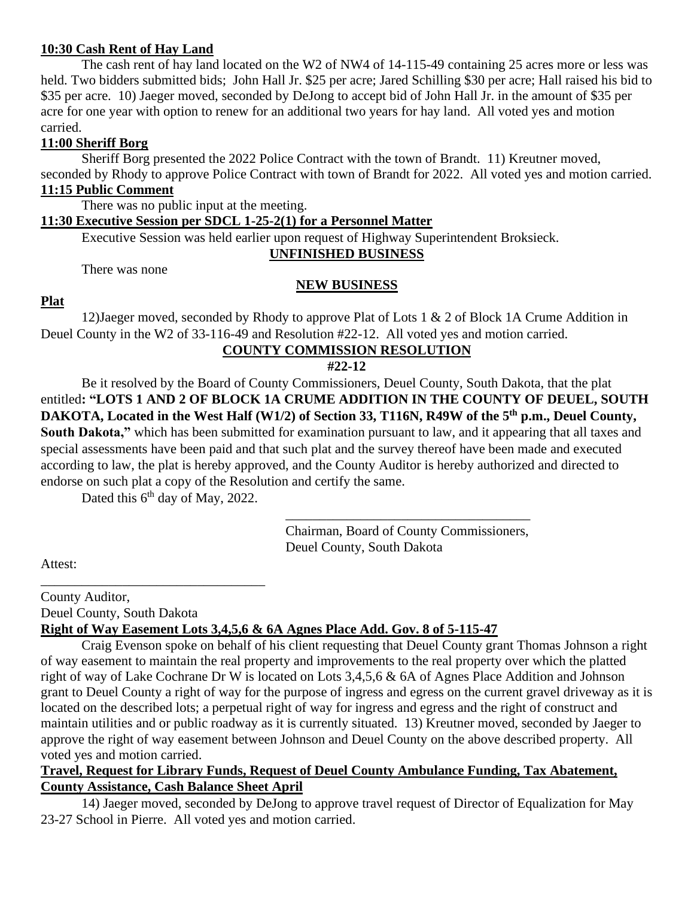#### **10:30 Cash Rent of Hay Land**

The cash rent of hay land located on the W2 of NW4 of 14-115-49 containing 25 acres more or less was held. Two bidders submitted bids; John Hall Jr. \$25 per acre; Jared Schilling \$30 per acre; Hall raised his bid to \$35 per acre. 10) Jaeger moved, seconded by DeJong to accept bid of John Hall Jr. in the amount of \$35 per acre for one year with option to renew for an additional two years for hay land. All voted yes and motion carried.

#### **11:00 Sheriff Borg**

Sheriff Borg presented the 2022 Police Contract with the town of Brandt. 11) Kreutner moved, seconded by Rhody to approve Police Contract with town of Brandt for 2022. All voted yes and motion carried.

# **11:15 Public Comment**

There was no public input at the meeting.

#### **11:30 Executive Session per SDCL 1-25-2(1) for a Personnel Matter**

Executive Session was held earlier upon request of Highway Superintendent Broksieck.

#### **UNFINISHED BUSINESS**

There was none

#### **NEW BUSINESS**

#### **Plat**

12)Jaeger moved, seconded by Rhody to approve Plat of Lots 1 & 2 of Block 1A Crume Addition in Deuel County in the W2 of 33-116-49 and Resolution #22-12. All voted yes and motion carried.

#### **COUNTY COMMISSION RESOLUTION**

**#22-12**

Be it resolved by the Board of County Commissioners, Deuel County, South Dakota, that the plat entitled**: "LOTS 1 AND 2 OF BLOCK 1A CRUME ADDITION IN THE COUNTY OF DEUEL, SOUTH DAKOTA, Located in the West Half (W1/2) of Section 33, T116N, R49W of the 5th p.m., Deuel County, South Dakota,"** which has been submitted for examination pursuant to law, and it appearing that all taxes and special assessments have been paid and that such plat and the survey thereof have been made and executed according to law, the plat is hereby approved, and the County Auditor is hereby authorized and directed to endorse on such plat a copy of the Resolution and certify the same.

Dated this 6<sup>th</sup> day of May, 2022.

\_\_\_\_\_\_\_\_\_\_\_\_\_\_\_\_\_\_\_\_\_\_\_\_\_\_\_\_\_\_\_\_\_

Chairman, Board of County Commissioners, Deuel County, South Dakota

\_\_\_\_\_\_\_\_\_\_\_\_\_\_\_\_\_\_\_\_\_\_\_\_\_\_\_\_\_\_\_\_\_\_\_\_

Attest:

County Auditor, Deuel County, South Dakota

# **Right of Way Easement Lots 3,4,5,6 & 6A Agnes Place Add. Gov. 8 of 5-115-47**

Craig Evenson spoke on behalf of his client requesting that Deuel County grant Thomas Johnson a right of way easement to maintain the real property and improvements to the real property over which the platted right of way of Lake Cochrane Dr W is located on Lots 3,4,5,6 & 6A of Agnes Place Addition and Johnson grant to Deuel County a right of way for the purpose of ingress and egress on the current gravel driveway as it is located on the described lots; a perpetual right of way for ingress and egress and the right of construct and maintain utilities and or public roadway as it is currently situated. 13) Kreutner moved, seconded by Jaeger to approve the right of way easement between Johnson and Deuel County on the above described property. All voted yes and motion carried.

#### **Travel, Request for Library Funds, Request of Deuel County Ambulance Funding, Tax Abatement, County Assistance, Cash Balance Sheet April**

14) Jaeger moved, seconded by DeJong to approve travel request of Director of Equalization for May 23-27 School in Pierre. All voted yes and motion carried.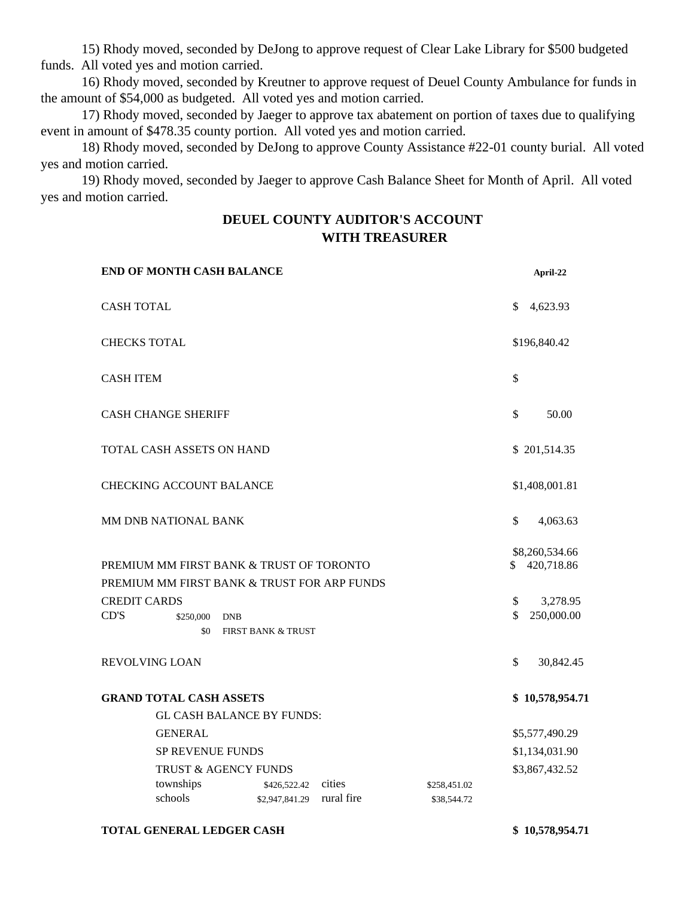15) Rhody moved, seconded by DeJong to approve request of Clear Lake Library for \$500 budgeted funds. All voted yes and motion carried.

16) Rhody moved, seconded by Kreutner to approve request of Deuel County Ambulance for funds in the amount of \$54,000 as budgeted. All voted yes and motion carried.

17) Rhody moved, seconded by Jaeger to approve tax abatement on portion of taxes due to qualifying event in amount of \$478.35 county portion. All voted yes and motion carried.

18) Rhody moved, seconded by DeJong to approve County Assistance #22-01 county burial. All voted yes and motion carried.

19) Rhody moved, seconded by Jaeger to approve Cash Balance Sheet for Month of April. All voted yes and motion carried.

## **DEUEL COUNTY AUDITOR'S ACCOUNT WITH TREASURER**

| <b>END OF MONTH CASH BALANCE</b>                                                                                                                  |                                |                      |                             |                | April-22                                               |
|---------------------------------------------------------------------------------------------------------------------------------------------------|--------------------------------|----------------------|-----------------------------|----------------|--------------------------------------------------------|
| <b>CASH TOTAL</b>                                                                                                                                 |                                |                      |                             |                | 4,623.93                                               |
| <b>CHECKS TOTAL</b>                                                                                                                               |                                |                      |                             | \$196,840.42   |                                                        |
| <b>CASH ITEM</b>                                                                                                                                  |                                |                      |                             | \$             |                                                        |
| <b>CASH CHANGE SHERIFF</b>                                                                                                                        |                                |                      |                             | \$             | 50.00                                                  |
| TOTAL CASH ASSETS ON HAND                                                                                                                         |                                |                      |                             |                | \$201,514.35                                           |
| <b>CHECKING ACCOUNT BALANCE</b>                                                                                                                   |                                |                      |                             |                | \$1,408,001.81                                         |
| MM DNB NATIONAL BANK                                                                                                                              |                                |                      |                             | \$             | 4,063.63                                               |
| PREMIUM MM FIRST BANK & TRUST OF TORONTO<br>PREMIUM MM FIRST BANK & TRUST FOR ARP FUNDS<br><b>CREDIT CARDS</b><br>CD'S<br>\$250,000<br><b>DNB</b> |                                |                      |                             | \$<br>\$<br>\$ | \$8,260,534.66<br>420,718.86<br>3,278.95<br>250,000.00 |
| \$0                                                                                                                                               | <b>FIRST BANK &amp; TRUST</b>  |                      |                             |                |                                                        |
| <b>REVOLVING LOAN</b>                                                                                                                             |                                |                      |                             | \$             | 30,842.45                                              |
| <b>GRAND TOTAL CASH ASSETS</b><br><b>GL CASH BALANCE BY FUNDS:</b>                                                                                |                                |                      |                             |                | \$10,578,954.71                                        |
| <b>GENERAL</b>                                                                                                                                    |                                |                      |                             | \$5,577,490.29 |                                                        |
| <b>SP REVENUE FUNDS</b>                                                                                                                           |                                |                      |                             | \$1,134,031.90 |                                                        |
| TRUST & AGENCY FUNDS                                                                                                                              |                                |                      |                             |                | \$3,867,432.52                                         |
| townships<br>schools                                                                                                                              | \$426,522.42<br>\$2,947,841.29 | cities<br>rural fire | \$258,451.02<br>\$38,544.72 |                |                                                        |